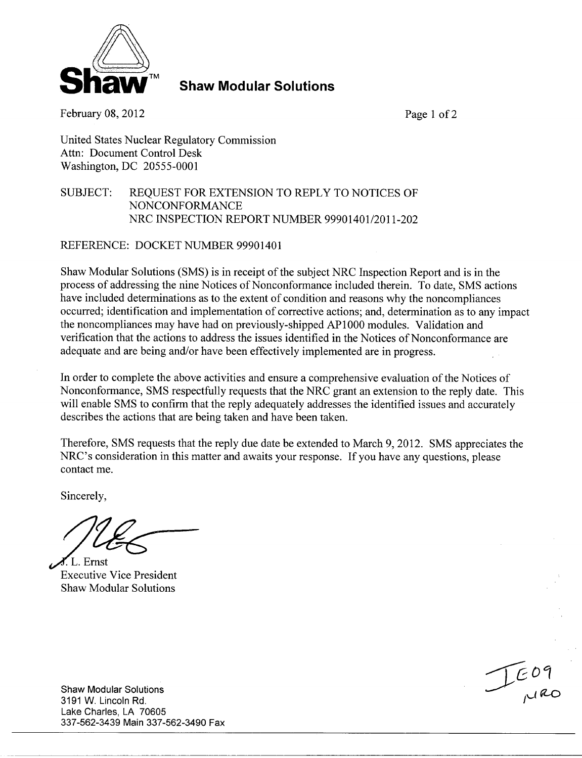

**Shaw Modular Solutions** 

February 08, 2012 Page 1 of 2

United States Nuclear Regulatory Commission Attn: Document Control Desk Washington, DC 20555-0001

## SUBJECT: REQUEST FOR EXTENSION TO REPLY TO NOTICES OF NONCONFORMANCE NRC INSPECTION REPORT NUMBER 99901401/2011-202

REFERENCE: DOCKET NUMBER 99901401

Shaw Modular Solutions (SMS) is in receipt of the subject NRC Inspection Report and is in the process of addressing the nine Notices of Nonconformance included therein. To date, SMS actions have included determinations as to the extent of condition and reasons why the noncompliances occurred; identification and implementation of corrective actions; and, determination as to any impact the noncompliances may have had on previously-shipped AP1000 modules. Validation and verification that the actions to address the issues identified in the Notices of Nonconformance are adequate and are being and/or have been effectively implemented are in progress.

In order to complete the above activities and ensure a comprehensive evaluation of the Notices of Nonconformance, SMS respectfully requests that the NRC grant an extension to the reply date. This will enable SMS to confirm that the reply adequately addresses the identified issues and accurately describes the actions that are being taken and have been taken.

Therefore, SMS requests that the reply due date be extended to March 9, 2012. SMS appreciates the NRC's consideration in this matter and awaits your response. If you have any questions, please contact me.

Sincerely,

L. Ernst Executive Vice President Shaw Modular Solutions

Shaw Modular Solutions 3191 W. Lincoln Rd. Lake Charles, LA 70605 337-562-3439 Main 337-562-3490 Fax